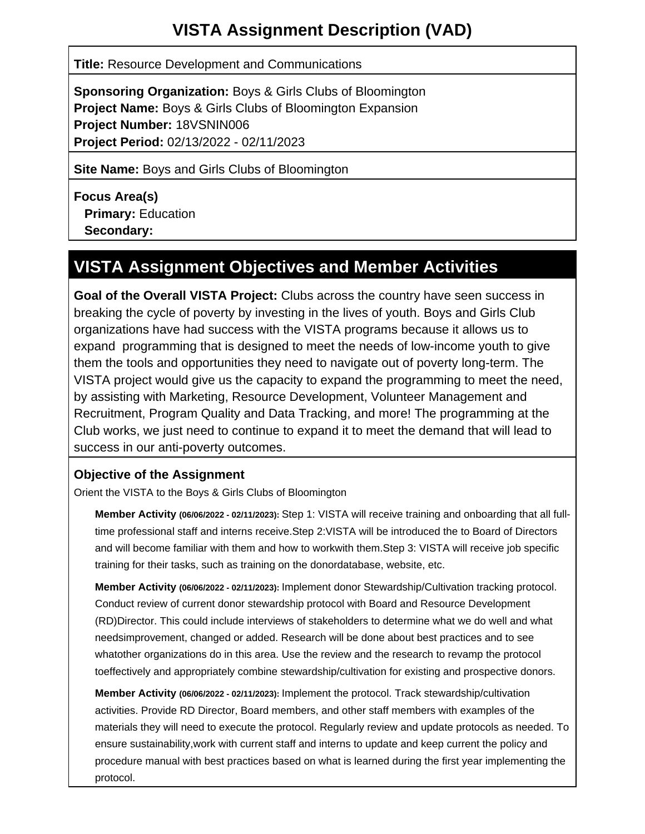**Title:** Resource Development and Communications

**Sponsoring Organization:** Boys & Girls Clubs of Bloomington **Project Name:** Boys & Girls Clubs of Bloomington Expansion **Project Number:** 18VSNIN006 **Project Period:** 02/13/2022 - 02/11/2023

**Site Name:** Boys and Girls Clubs of Bloomington

**Focus Area(s) Primary:** Education  **Secondary:**

# **VISTA Assignment Objectives and Member Activities**

**Goal of the Overall VISTA Project:** Clubs across the country have seen success in breaking the cycle of poverty by investing in the lives of youth. Boys and Girls Club organizations have had success with the VISTA programs because it allows us to expand programming that is designed to meet the needs of low-income youth to give them the tools and opportunities they need to navigate out of poverty long-term. The VISTA project would give us the capacity to expand the programming to meet the need, by assisting with Marketing, Resource Development, Volunteer Management and Recruitment, Program Quality and Data Tracking, and more! The programming at the Club works, we just need to continue to expand it to meet the demand that will lead to success in our anti-poverty outcomes.

## **Objective of the Assignment**

Orient the VISTA to the Boys & Girls Clubs of Bloomington

**Member Activity (06/06/2022 - 02/11/2023):** Step 1: VISTA will receive training and onboarding that all fulltime professional staff and interns receive.Step 2:VISTA will be introduced the to Board of Directors and will become familiar with them and how to workwith them.Step 3: VISTA will receive job specific training for their tasks, such as training on the donordatabase, website, etc.

**Member Activity (06/06/2022 - 02/11/2023):** Implement donor Stewardship/Cultivation tracking protocol. Conduct review of current donor stewardship protocol with Board and Resource Development (RD)Director. This could include interviews of stakeholders to determine what we do well and what needsimprovement, changed or added. Research will be done about best practices and to see whatother organizations do in this area. Use the review and the research to revamp the protocol toeffectively and appropriately combine stewardship/cultivation for existing and prospective donors.

**Member Activity (06/06/2022 - 02/11/2023):** Implement the protocol. Track stewardship/cultivation activities. Provide RD Director, Board members, and other staff members with examples of the materials they will need to execute the protocol. Regularly review and update protocols as needed. To ensure sustainability,work with current staff and interns to update and keep current the policy and procedure manual with best practices based on what is learned during the first year implementing the protocol.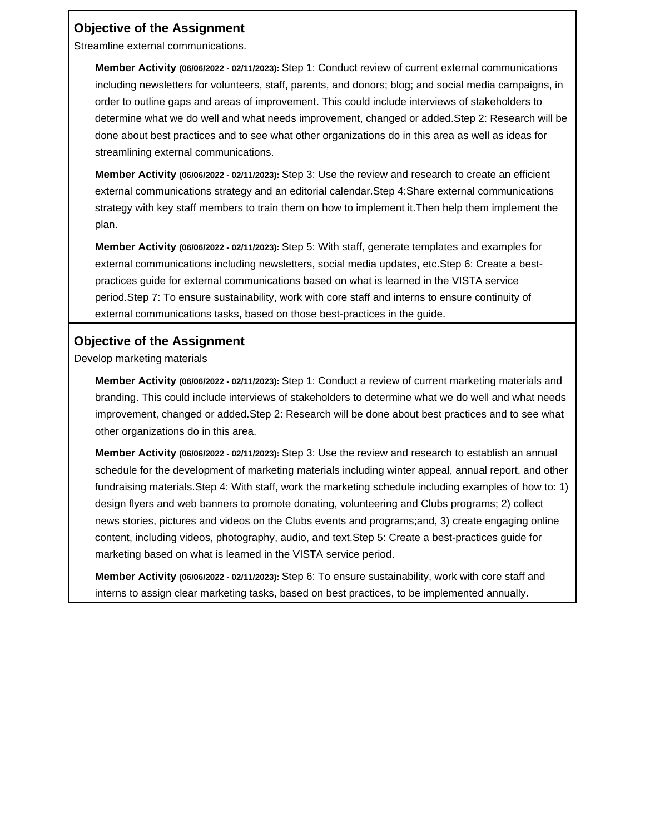### **Objective of the Assignment**

Streamline external communications.

**Member Activity (06/06/2022 - 02/11/2023):** Step 1: Conduct review of current external communications including newsletters for volunteers, staff, parents, and donors; blog; and social media campaigns, in order to outline gaps and areas of improvement. This could include interviews of stakeholders to determine what we do well and what needs improvement, changed or added.Step 2: Research will be done about best practices and to see what other organizations do in this area as well as ideas for streamlining external communications.

**Member Activity (06/06/2022 - 02/11/2023):** Step 3: Use the review and research to create an efficient external communications strategy and an editorial calendar.Step 4:Share external communications strategy with key staff members to train them on how to implement it.Then help them implement the plan.

**Member Activity (06/06/2022 - 02/11/2023):** Step 5: With staff, generate templates and examples for external communications including newsletters, social media updates, etc.Step 6: Create a bestpractices guide for external communications based on what is learned in the VISTA service period.Step 7: To ensure sustainability, work with core staff and interns to ensure continuity of external communications tasks, based on those best-practices in the guide.

### **Objective of the Assignment**

Develop marketing materials

**Member Activity (06/06/2022 - 02/11/2023):** Step 1: Conduct a review of current marketing materials and branding. This could include interviews of stakeholders to determine what we do well and what needs improvement, changed or added.Step 2: Research will be done about best practices and to see what other organizations do in this area.

**Member Activity (06/06/2022 - 02/11/2023):** Step 3: Use the review and research to establish an annual schedule for the development of marketing materials including winter appeal, annual report, and other fundraising materials.Step 4: With staff, work the marketing schedule including examples of how to: 1) design flyers and web banners to promote donating, volunteering and Clubs programs; 2) collect news stories, pictures and videos on the Clubs events and programs;and, 3) create engaging online content, including videos, photography, audio, and text.Step 5: Create a best-practices guide for marketing based on what is learned in the VISTA service period.

**Member Activity (06/06/2022 - 02/11/2023):** Step 6: To ensure sustainability, work with core staff and interns to assign clear marketing tasks, based on best practices, to be implemented annually.